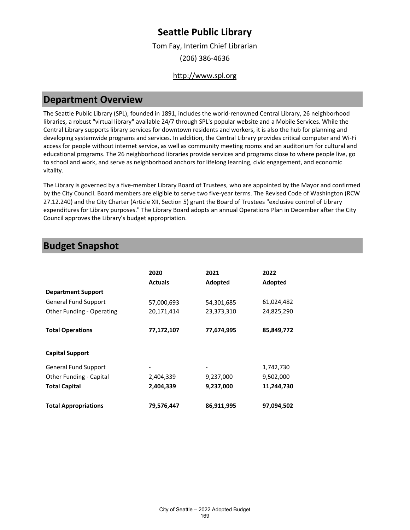Tom Fay, Interim Chief Librarian (206) 386-4636

### [http://www.spl.org](http://www.spl.org/)

### **Department Overview**

The Seattle Public Library (SPL), founded in 1891, includes the world-renowned Central Library, 26 neighborhood libraries, a robust "virtual library" available 24/7 through SPL's popular website and a Mobile Services. While the Central Library supports library services for downtown residents and workers, it is also the hub for planning and developing systemwide programs and services. In addition, the Central Library provides critical computer and Wi-Fi access for people without internet service, as well as community meeting rooms and an auditorium for cultural and educational programs. The 26 neighborhood libraries provide services and programs close to where people live, go to school and work, and serve as neighborhood anchors for lifelong learning, civic engagement, and economic vitality.

The Library is governed by a five-member Library Board of Trustees, who are appointed by the Mayor and confirmed by the City Council. Board members are eligible to serve two five-year terms. The Revised Code of Washington (RCW 27.12.240) and the City Charter (Article XII, Section 5) grant the Board of Trustees "exclusive control of Library expenditures for Library purposes." The Library Board adopts an annual Operations Plan in December after the City Council approves the Library's budget appropriation.

### **Budget Snapshot**

|                             | 2020<br><b>Actuals</b> | 2021<br>Adopted | 2022<br>Adopted |
|-----------------------------|------------------------|-----------------|-----------------|
| <b>Department Support</b>   |                        |                 |                 |
| <b>General Fund Support</b> | 57,000,693             | 54,301,685      | 61,024,482      |
| Other Funding - Operating   | 20,171,414             | 23,373,310      | 24,825,290      |
| <b>Total Operations</b>     | 77,172,107             | 77,674,995      | 85,849,772      |
| <b>Capital Support</b>      |                        |                 |                 |
| <b>General Fund Support</b> |                        |                 | 1,742,730       |
| Other Funding - Capital     | 2,404,339              | 9,237,000       | 9,502,000       |
| <b>Total Capital</b>        | 2,404,339              | 9,237,000       | 11,244,730      |
| <b>Total Appropriations</b> | 79,576,447             | 86,911,995      | 97,094,502      |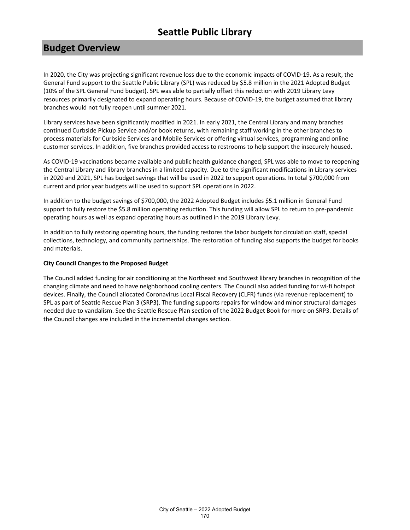### **Budget Overview**

In 2020, the City was projecting significant revenue loss due to the economic impacts of COVID-19. As a result, the General Fund support to the Seattle Public Library (SPL) was reduced by \$5.8 million in the 2021 Adopted Budget (10% of the SPL General Fund budget). SPL was able to partially offset this reduction with 2019 Library Levy resources primarily designated to expand operating hours. Because of COVID-19, the budget assumed that library branches would not fully reopen until summer 2021.

Library services have been significantly modified in 2021. In early 2021, the Central Library and many branches continued Curbside Pickup Service and/or book returns, with remaining staff working in the other branches to process materials for Curbside Services and Mobile Services or offering virtual services, programming and online customer services. In addition, five branches provided access to restrooms to help support the insecurely housed.

As COVID-19 vaccinations became available and public health guidance changed, SPL was able to move to reopening the Central Library and library branches in a limited capacity. Due to the significant modifications in Library services in 2020 and 2021, SPL has budget savings that will be used in 2022 to support operations. In total \$700,000 from current and prior year budgets will be used to support SPL operations in 2022.

In addition to the budget savings of \$700,000, the 2022 Adopted Budget includes \$5.1 million in General Fund support to fully restore the \$5.8 million operating reduction. This funding will allow SPL to return to pre-pandemic operating hours as well as expand operating hours as outlined in the 2019 Library Levy.

In addition to fully restoring operating hours, the funding restores the labor budgets for circulation staff, special collections, technology, and community partnerships. The restoration of funding also supports the budget for books and materials.

### **City Council Changes to the Proposed Budget**

The Council added funding for air conditioning at the Northeast and Southwest library branches in recognition of the changing climate and need to have neighborhood cooling centers. The Council also added funding for wi-fi hotspot devices. Finally, the Council allocated Coronavirus Local Fiscal Recovery (CLFR) funds (via revenue replacement) to SPL as part of Seattle Rescue Plan 3 (SRP3). The funding supports repairs for window and minor structural damages needed due to vandalism. See the Seattle Rescue Plan section of the 2022 Budget Book for more on SRP3. Details of the Council changes are included in the incremental changes section.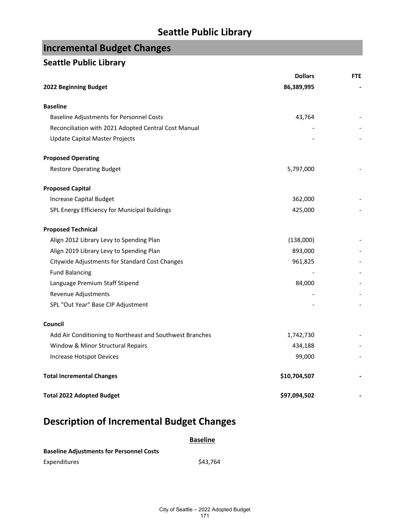# **Incremental Budget Changes**

### **Seattle Public Library**

|                                                          | <b>Dollars</b> | <b>FTE</b> |
|----------------------------------------------------------|----------------|------------|
| 2022 Beginning Budget                                    | 86,389,995     |            |
| <b>Baseline</b>                                          |                |            |
| <b>Baseline Adjustments for Personnel Costs</b>          | 43,764         |            |
| Reconciliation with 2021 Adopted Central Cost Manual     |                |            |
| Update Capital Master Projects                           |                |            |
| <b>Proposed Operating</b>                                |                |            |
| <b>Restore Operating Budget</b>                          | 5,797,000      |            |
| <b>Proposed Capital</b>                                  |                |            |
| <b>Increase Capital Budget</b>                           | 362,000        |            |
| SPL Energy Efficiency for Municipal Buildings            | 425,000        |            |
| <b>Proposed Technical</b>                                |                |            |
| Align 2012 Library Levy to Spending Plan                 | (138,000)      |            |
| Align 2019 Library Levy to Spending Plan                 | 893,000        |            |
| Citywide Adjustments for Standard Cost Changes           | 961,825        |            |
| <b>Fund Balancing</b>                                    |                |            |
| Language Premium Staff Stipend                           | 84,000         |            |
| Revenue Adjustments                                      |                |            |
| SPL "Out Year" Base CIP Adjustment                       |                |            |
| Council                                                  |                |            |
| Add Air Conditioning to Northeast and Southwest Branches | 1,742,730      |            |
| Window & Minor Structural Repairs                        | 434,188        |            |
| Increase Hotspot Devices                                 | 99,000         |            |
| <b>Total Incremental Changes</b>                         | \$10,704,507   |            |
| <b>Total 2022 Adopted Budget</b>                         | \$97,094,502   |            |

# **Description of Incremental Budget Changes**

### **Baseline**

| <b>Baseline Adjustments for Personnel Costs</b> |          |  |
|-------------------------------------------------|----------|--|
| Expenditures                                    | \$43.764 |  |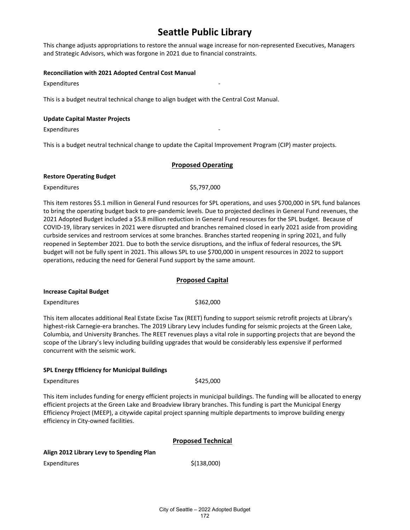This change adjusts appropriations to restore the annual wage increase for non-represented Executives, Managers and Strategic Advisors, which was forgone in 2021 due to financial constraints.

#### **Reconciliation with 2021 Adopted Central Cost Manual**

**Expenditures** 

This is a budget neutral technical change to align budget with the Central Cost Manual.

#### **Update Capital Master Projects**

**Expenditures** 

This is a budget neutral technical change to update the Capital Improvement Program (CIP) master projects.

### **Proposed Operating**

#### **Restore Operating Budget**

Expenditures \$5,797,000

This item restores \$5.1 million in General Fund resources for SPL operations, and uses \$700,000 in SPL fund balances to bring the operating budget back to pre-pandemic levels. Due to projected declines in General Fund revenues, the 2021 Adopted Budget included a \$5.8 million reduction in General Fund resources for the SPL budget. Because of COVID-19, library services in 2021 were disrupted and branches remained closed in early 2021 aside from providing curbside services and restroom services at some branches. Branches started reopening in spring 2021, and fully reopened in September 2021. Due to both the service disruptions, and the influx of federal resources, the SPL budget will not be fully spent in 2021. This allows SPL to use \$700,000 in unspent resources in 2022 to support operations, reducing the need for General Fund support by the same amount.

### **Proposed Capital**

#### **Increase Capital Budget**

Expenditures \$362,000

This item allocates additional Real Estate Excise Tax (REET) funding to support seismic retrofit projects at Library's highest-risk Carnegie-era branches. The 2019 Library Levy includes funding for seismic projects at the Green Lake, Columbia, and University Branches. The REET revenues plays a vital role in supporting projects that are beyond the scope of the Library's levy including building upgrades that would be considerably less expensive if performed concurrent with the seismic work.

### **SPL Energy Efficiency for Municipal Buildings**

Expenditures \$425,000

This item includes funding for energy efficient projects in municipal buildings. The funding will be allocated to energy efficient projects at the Green Lake and Broadview library branches. This funding is part the Municipal Energy Efficiency Project (MEEP), a citywide capital project spanning multiple departments to improve building energy efficiency in City-owned facilities.

### **Proposed Technical**

### **Align 2012 Library Levy to Spending Plan**

Expenditures \$(138,000)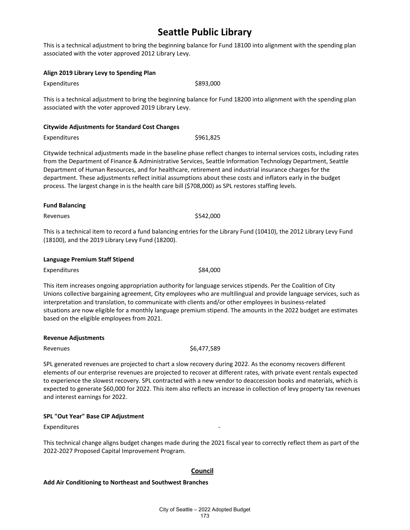This is a technical adjustment to bring the beginning balance for Fund 18100 into alignment with the spending plan associated with the voter approved 2012 Library Levy.

#### **Align 2019 Library Levy to Spending Plan**

Expenditures \$893,000

This is a technical adjustment to bring the beginning balance for Fund 18200 into alignment with the spending plan associated with the voter approved 2019 Library Levy.

#### **Citywide Adjustments for Standard Cost Changes**

Expenditures \$961,825

Citywide technical adjustments made in the baseline phase reflect changes to internal services costs, including rates from the Department of Finance & Administrative Services, Seattle Information Technology Department, Seattle Department of Human Resources, and for healthcare, retirement and industrial insurance charges for the department. These adjustments reflect initial assumptions about these costs and inflators early in the budget process. The largest change in is the health care bill (\$708,000) as SPL restores staffing levels.

#### **Fund Balancing**

Revenues  $$542,000$ 

This is a technical item to record a fund balancing entries for the Library Fund (10410), the 2012 Library Levy Fund (18100), and the 2019 Library Levy Fund (18200).

| Language Premium Staff Stipend |  |
|--------------------------------|--|
|--------------------------------|--|

Expenditures \$84,000

This item increases ongoing appropriation authority for language services stipends. Per the Coalition of City Unions collective bargaining agreement, City employees who are multilingual and provide language services, such as interpretation and translation, to communicate with clients and/or other employees in business-related situations are now eligible for a monthly language premium stipend. The amounts in the 2022 budget are estimates based on the eligible employees from 2021.

#### **Revenue Adjustments**

Revenues \$6,477,589

SPL generated revenues are projected to chart a slow recovery during 2022. As the economy recovers different elements of our enterprise revenues are projected to recover at different rates, with private event rentals expected to experience the slowest recovery. SPL contracted with a new vendor to deaccession books and materials, which is expected to generate \$60,000 for 2022. This item also reflects an increase in collection of levy property tax revenues and interest earnings for 2022.

### **SPL "Out Year" Base CIP Adjustment**

Expenditures

This technical change aligns budget changes made during the 2021 fiscal year to correctly reflect them as part of the 2022-2027 Proposed Capital Improvement Program.

### **Council**

**Add Air Conditioning to Northeast and Southwest Branches**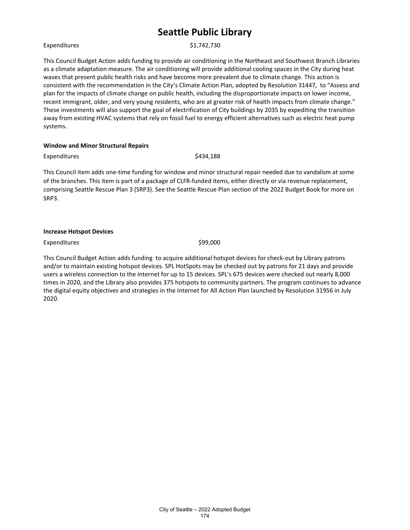#### Expenditures \$1,742,730

This Council Budget Action adds funding to provide air conditioning in the Northeast and Southwest Branch Libraries as a climate adaptation measure. The air conditioning will provide additional cooling spaces in the City during heat waves that present public health risks and have become more prevalent due to climate change. This action is consistent with the recommendation in the City's Climate Action Plan, adopted by Resolution 31447, to "Assess and plan for the impacts of climate change on public health, including the disproportionate impacts on lower income, recent immigrant, older, and very young residents, who are at greater risk of health impacts from climate change." These investments will also support the goal of electrification of City buildings by 2035 by expediting the transition away from existing HVAC systems that rely on fossil fuel to energy efficient alternatives such as electric heat pump systems.

#### **Window and Minor Structural Repairs**

Expenditures \$434,188

This Council item adds one-time funding for window and minor structural repair needed due to vandalism at some of the branches. This item is part of a package of CLFR-funded items, either directly or via revenue replacement, comprising Seattle Rescue Plan 3 (SRP3). See the Seattle Rescue Plan section of the 2022 Budget Book for more on SRP3.

Expenditures \$99,000

This Council Budget Action adds funding to acquire additional hotspot devices for check-out by Library patrons and/or to maintain existing hotspot devices. SPL HotSpots may be checked out by patrons for 21 days and provide users a wireless connection to the internet for up to 15 devices. SPL's 675 devices were checked out nearly 8,000 times in 2020, and the Library also provides 375 hotspots to community partners. The program continues to advance the digital equity objectives and strategies in the Internet for All Action Plan launched by Resolution 31956 in July 2020.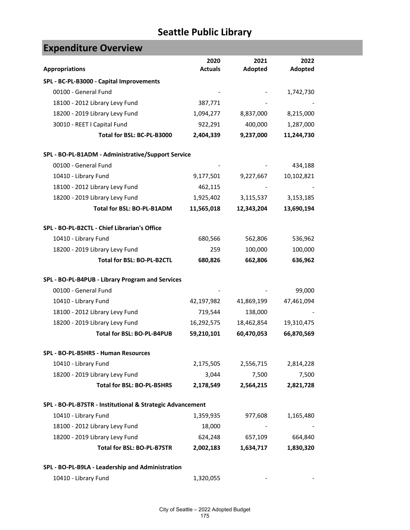**Tara** 

| <b>Expenditure Overview</b>                               |                        |                 |                 |
|-----------------------------------------------------------|------------------------|-----------------|-----------------|
| <b>Appropriations</b>                                     | 2020<br><b>Actuals</b> | 2021<br>Adopted | 2022<br>Adopted |
| SPL - BC-PL-B3000 - Capital Improvements                  |                        |                 |                 |
| 00100 - General Fund                                      |                        |                 | 1,742,730       |
| 18100 - 2012 Library Levy Fund                            | 387,771                |                 |                 |
| 18200 - 2019 Library Levy Fund                            | 1,094,277              | 8,837,000       | 8,215,000       |
| 30010 - REET I Capital Fund                               | 922,291                | 400,000         | 1,287,000       |
| Total for BSL: BC-PL-B3000                                | 2,404,339              | 9,237,000       | 11,244,730      |
| SPL - BO-PL-B1ADM - Administrative/Support Service        |                        |                 |                 |
| 00100 - General Fund                                      |                        |                 | 434,188         |
| 10410 - Library Fund                                      | 9,177,501              | 9,227,667       | 10,102,821      |
| 18100 - 2012 Library Levy Fund                            | 462,115                |                 |                 |
| 18200 - 2019 Library Levy Fund                            | 1,925,402              | 3,115,537       | 3,153,185       |
| Total for BSL: BO-PL-B1ADM                                | 11,565,018             | 12,343,204      | 13,690,194      |
| SPL - BO-PL-B2CTL - Chief Librarian's Office              |                        |                 |                 |
| 10410 - Library Fund                                      | 680,566                | 562,806         | 536,962         |
| 18200 - 2019 Library Levy Fund                            | 259                    | 100,000         | 100,000         |
| Total for BSL: BO-PL-B2CTL                                | 680,826                | 662,806         | 636,962         |
| SPL - BO-PL-B4PUB - Library Program and Services          |                        |                 |                 |
| 00100 - General Fund                                      |                        |                 | 99,000          |
| 10410 - Library Fund                                      | 42,197,982             | 41,869,199      | 47,461,094      |
| 18100 - 2012 Library Levy Fund                            | 719,544                | 138,000         |                 |
| 18200 - 2019 Library Levy Fund                            | 16,292,575             | 18,462,854      | 19,310,475      |
| Total for BSL: BO-PL-B4PUB                                | 59,210,101             | 60,470,053      | 66,870,569      |
| SPL - BO-PL-B5HRS - Human Resources                       |                        |                 |                 |
| 10410 - Library Fund                                      | 2,175,505              | 2,556,715       | 2,814,228       |
| 18200 - 2019 Library Levy Fund                            | 3,044                  | 7,500           | 7,500           |
| Total for BSL: BO-PL-B5HRS                                | 2,178,549              | 2,564,215       | 2,821,728       |
| SPL - BO-PL-B7STR - Institutional & Strategic Advancement |                        |                 |                 |
| 10410 - Library Fund                                      | 1,359,935              | 977,608         | 1,165,480       |
| 18100 - 2012 Library Levy Fund                            | 18,000                 |                 |                 |
| 18200 - 2019 Library Levy Fund                            | 624,248                | 657,109         | 664,840         |
| Total for BSL: BO-PL-B7STR                                | 2,002,183              | 1,634,717       | 1,830,320       |
| SPL - BO-PL-B9LA - Leadership and Administration          |                        |                 |                 |
| 10410 - Library Fund                                      | 1,320,055              |                 |                 |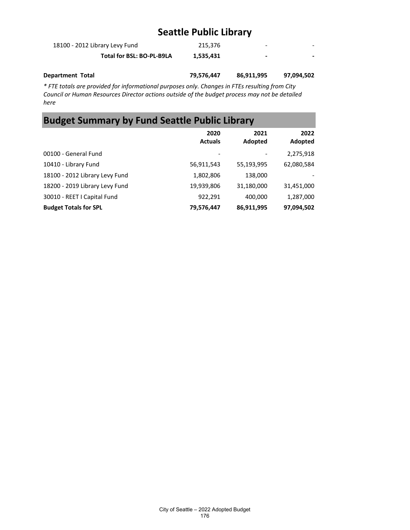| 18100 - 2012 Library Levy Fund | 215.376   | -                        | - |
|--------------------------------|-----------|--------------------------|---|
| Total for BSL: BO-PL-B9LA      | 1,535,431 | $\overline{\phantom{0}}$ |   |
|                                |           |                          |   |

**Department Total 79,576,447 86,911,995 97,094,502**

*\* FTE totals are provided for informational purposes only. Changes in FTEs resulting from City Council or Human Resources Director actions outside of the budget process may not be detailed here*

# **Budget Summary by Fund Seattle Public Library**

|                                | 2020<br><b>Actuals</b> | 2021<br>Adopted | 2022<br>Adopted |
|--------------------------------|------------------------|-----------------|-----------------|
| 00100 - General Fund           | -                      |                 | 2,275,918       |
| 10410 - Library Fund           | 56,911,543             | 55,193,995      | 62,080,584      |
| 18100 - 2012 Library Levy Fund | 1,802,806              | 138,000         |                 |
| 18200 - 2019 Library Levy Fund | 19,939,806             | 31,180,000      | 31,451,000      |
| 30010 - REET I Capital Fund    | 922,291                | 400,000         | 1,287,000       |
| <b>Budget Totals for SPL</b>   | 79,576,447             | 86,911,995      | 97,094,502      |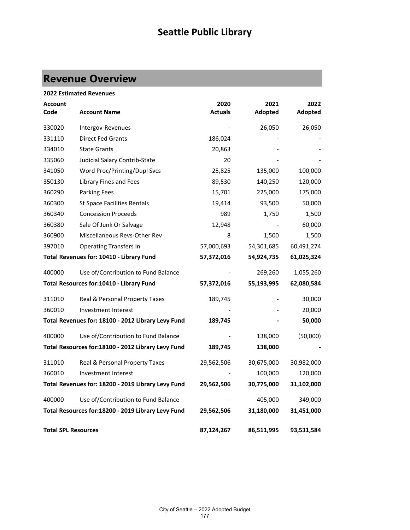# **Revenue Overview**

### **2022 Estimated Revenues**

| <b>Account</b><br>Code     | <b>Account Name</b>                                | 2020<br><b>Actuals</b> | 2021<br>Adopted | 2022<br>Adopted |
|----------------------------|----------------------------------------------------|------------------------|-----------------|-----------------|
| 330020                     | Intergov-Revenues                                  |                        | 26,050          | 26,050          |
| 331110                     | <b>Direct Fed Grants</b>                           | 186,024                |                 |                 |
| 334010                     | <b>State Grants</b>                                | 20,863                 |                 |                 |
| 335060                     | Judicial Salary Contrib-State                      | 20                     |                 |                 |
| 341050                     | Word Proc/Printing/Dupl Svcs                       | 25,825                 | 135,000         | 100,000         |
| 350130                     | Library Fines and Fees                             | 89,530                 | 140,250         | 120,000         |
| 360290                     | <b>Parking Fees</b>                                | 15,701                 | 225,000         | 175,000         |
| 360300                     | <b>St Space Facilities Rentals</b>                 | 19,414                 | 93,500          | 50,000          |
| 360340                     | <b>Concession Proceeds</b>                         | 989                    | 1,750           | 1,500           |
| 360380                     | Sale Of Junk Or Salvage                            | 12,948                 |                 | 60,000          |
| 360900                     | Miscellaneous Revs-Other Rev                       | 8                      | 1,500           | 1,500           |
| 397010                     | <b>Operating Transfers In</b>                      | 57,000,693             | 54,301,685      | 60,491,274      |
|                            | Total Revenues for: 10410 - Library Fund           | 57,372,016             | 54,924,735      | 61,025,324      |
| 400000                     | Use of/Contribution to Fund Balance                |                        | 269,260         | 1,055,260       |
|                            | Total Resources for:10410 - Library Fund           | 57,372,016             | 55,193,995      | 62,080,584      |
| 311010                     | Real & Personal Property Taxes                     | 189,745                |                 | 30,000          |
| 360010                     | Investment Interest                                |                        |                 | 20,000          |
|                            | Total Revenues for: 18100 - 2012 Library Levy Fund | 189,745                |                 | 50,000          |
| 400000                     | Use of/Contribution to Fund Balance                |                        | 138,000         | (50,000)        |
|                            | Total Resources for:18100 - 2012 Library Levy Fund | 189,745                | 138,000         |                 |
| 311010                     | Real & Personal Property Taxes                     | 29,562,506             | 30,675,000      | 30,982,000      |
| 360010                     | Investment Interest                                |                        | 100,000         | 120,000         |
|                            | Total Revenues for: 18200 - 2019 Library Levy Fund | 29,562,506             | 30,775,000      | 31,102,000      |
| 400000                     | Use of/Contribution to Fund Balance                |                        | 405,000         | 349,000         |
|                            | Total Resources for:18200 - 2019 Library Levy Fund | 29,562,506             | 31,180,000      | 31,451,000      |
| <b>Total SPL Resources</b> |                                                    | 87,124,267             | 86,511,995      | 93,531,584      |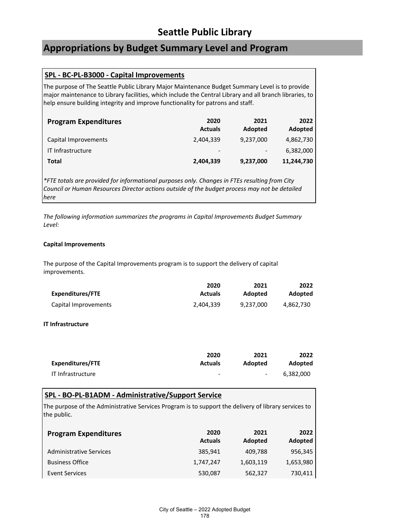### **Appropriations by Budget Summary Level and Program**

### **SPL - BC-PL-B3000 - Capital Improvements**

The purpose of The Seattle Public Library Major Maintenance Budget Summary Level is to provide major maintenance to Library facilities, which include the Central Library and all branch libraries, to help ensure building integrity and improve functionality for patrons and staff.

| <b>Program Expenditures</b> | 2020<br><b>Actuals</b>   | 2021<br>Adopted | 2022<br>Adopted |
|-----------------------------|--------------------------|-----------------|-----------------|
| Capital Improvements        | 2,404,339                | 9,237,000       | 4,862,730       |
| IT Infrastructure           | $\overline{\phantom{a}}$ |                 | 6,382,000       |
| Total                       | 2,404,339                | 9,237,000       | 11,244,730      |

*\*FTE totals are provided for informational purposes only. Changes in FTEs resulting from City Council or Human Resources Director actions outside of the budget process may not be detailed here*

*The following information summarizes the programs in Capital Improvements Budget Summary Level:*

### **Capital Improvements**

The purpose of the Capital Improvements program is to support the delivery of capital improvements.

|                      | 2020           | 2021      | 2022           |
|----------------------|----------------|-----------|----------------|
| Expenditures/FTE     | <b>Actuals</b> | Adopted   | <b>Adopted</b> |
| Capital Improvements | 2.404.339      | 9.237.000 | 4.862.730      |

### **IT Infrastructure**

|                   | 2020           | 2021           | 2022      |
|-------------------|----------------|----------------|-----------|
| Expenditures/FTE  | <b>Actuals</b> | <b>Adopted</b> | Adopted   |
| IT Infrastructure | -              | $\sim$         | 6.382.000 |

### **SPL - BO-PL-B1ADM - Administrative/Support Service**

The purpose of the Administrative Services Program is to support the delivery of library services to the public.

| <b>Program Expenditures</b>    | 2020<br><b>Actuals</b> | 2021<br>Adopted | 2022<br>Adopted |
|--------------------------------|------------------------|-----------------|-----------------|
| <b>Administrative Services</b> | 385,941                | 409,788         | 956,345         |
| <b>Business Office</b>         | 1,747,247              | 1,603,119       | 1,653,980       |
| Event Services                 | 530,087                | 562,327         | 730,411         |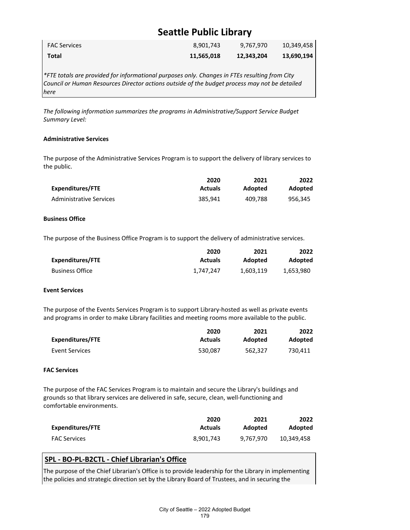| <b>FAC Services</b> | 8,901,743  | 9,767,970  | 10,349,458 |
|---------------------|------------|------------|------------|
| Total               | 11,565,018 | 12,343,204 | 13,690,194 |

*\*FTE totals are provided for informational purposes only. Changes in FTEs resulting from City Council or Human Resources Director actions outside of the budget process may not be detailed here*

*The following information summarizes the programs in Administrative/Support Service Budget Summary Level:*

#### **Administrative Services**

The purpose of the Administrative Services Program is to support the delivery of library services to the public.

|                         | 2020           | 2021    | 2022           |
|-------------------------|----------------|---------|----------------|
| Expenditures/FTE        | <b>Actuals</b> | Adopted | <b>Adopted</b> |
| Administrative Services | 385.941        | 409.788 | 956.345        |

#### **Business Office**

The purpose of the Business Office Program is to support the delivery of administrative services.

|                        | 2020           | 2021      | 2022           |
|------------------------|----------------|-----------|----------------|
| Expenditures/FTE       | <b>Actuals</b> | Adopted   | <b>Adopted</b> |
| <b>Business Office</b> | 1,747,247      | 1.603.119 | 1,653,980      |

#### **Event Services**

The purpose of the Events Services Program is to support Library-hosted as well as private events and programs in order to make Library facilities and meeting rooms more available to the public.

|                  | 2020           | 2021    | 2022    |
|------------------|----------------|---------|---------|
| Expenditures/FTE | <b>Actuals</b> | Adopted | Adopted |
| Event Services   | 530.087        | 562.327 | 730.411 |

### **FAC Services**

The purpose of the FAC Services Program is to maintain and secure the Library's buildings and grounds so that library services are delivered in safe, secure, clean, well-functioning and comfortable environments.

|                         | 2020           | 2021      | 2022       |
|-------------------------|----------------|-----------|------------|
| <b>Expenditures/FTE</b> | <b>Actuals</b> | Adopted   | Adopted    |
| <b>FAC Services</b>     | 8.901.743      | 9.767.970 | 10.349.458 |

### **SPL - BO-PL-B2CTL - Chief Librarian's Office**

The purpose of the Chief Librarian's Office is to provide leadership for the Library in implementing the policies and strategic direction set by the Library Board of Trustees, and in securing the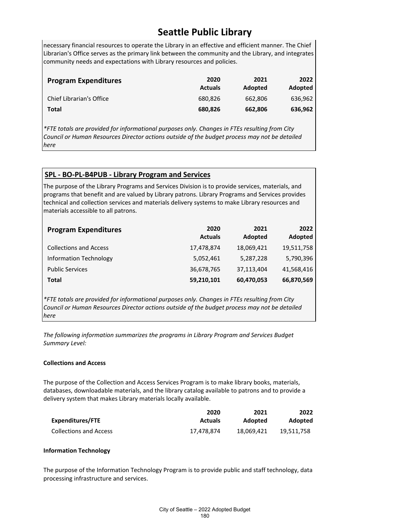necessary financial resources to operate the Library in an effective and efficient manner. The Chief Librarian's Office serves as the primary link between the community and the Library, and integrates community needs and expectations with Library resources and policies.

| <b>Program Expenditures</b> | 2020<br><b>Actuals</b> | 2021<br>Adopted | <b>2022</b><br>Adopted |
|-----------------------------|------------------------|-----------------|------------------------|
| Chief Librarian's Office    | 680.826                | 662.806         | 636,962                |
| Total                       | 680,826                | 662,806         | 636,962                |

*\*FTE totals are provided for informational purposes only. Changes in FTEs resulting from City Council or Human Resources Director actions outside of the budget process may not be detailed here*

### **SPL - BO-PL-B4PUB - Library Program and Services**

The purpose of the Library Programs and Services Division is to provide services, materials, and programs that benefit and are valued by Library patrons. Library Programs and Services provides technical and collection services and materials delivery systems to make Library resources and materials accessible to all patrons.

| <b>Program Expenditures</b>   | 2020<br><b>Actuals</b> | 2021<br>Adopted | 2022<br>Adopted |
|-------------------------------|------------------------|-----------------|-----------------|
| <b>Collections and Access</b> | 17,478,874             | 18,069,421      | 19,511,758      |
| Information Technology        | 5,052,461              | 5,287,228       | 5,790,396       |
| <b>Public Services</b>        | 36,678,765             | 37,113,404      | 41,568,416      |
| Total                         | 59,210,101             | 60,470,053      | 66,870,569      |

*\*FTE totals are provided for informational purposes only. Changes in FTEs resulting from City Council or Human Resources Director actions outside of the budget process may not be detailed here*

*The following information summarizes the programs in Library Program and Services Budget Summary Level:*

### **Collections and Access**

The purpose of the Collection and Access Services Program is to make library books, materials, databases, downloadable materials, and the library catalog available to patrons and to provide a delivery system that makes Library materials locally available.

|                               | 2020           | 2021       | 2022       |
|-------------------------------|----------------|------------|------------|
| Expenditures/FTE              | <b>Actuals</b> | Adopted    | Adopted    |
| <b>Collections and Access</b> | 17.478.874     | 18.069.421 | 19.511.758 |

### **Information Technology**

The purpose of the Information Technology Program is to provide public and staff technology, data processing infrastructure and services.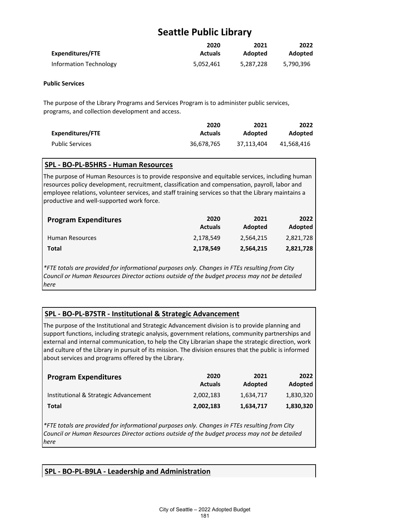|                        | 2020           | 2021      | 2022      |
|------------------------|----------------|-----------|-----------|
| Expenditures/FTE       | <b>Actuals</b> | Adopted   | Adopted   |
| Information Technology | 5,052,461      | 5,287,228 | 5,790,396 |

### **Public Services**

The purpose of the Library Programs and Services Program is to administer public services, programs, and collection development and access.

|                        | 2020           | 2021       | 2022       |
|------------------------|----------------|------------|------------|
| Expenditures/FTE       | <b>Actuals</b> | Adopted    | Adopted    |
| <b>Public Services</b> | 36.678.765     | 37.113.404 | 41.568.416 |

### **SPL - BO-PL-B5HRS - Human Resources**

The purpose of Human Resources is to provide responsive and equitable services, including human resources policy development, recruitment, classification and compensation, payroll, labor and employee relations, volunteer services, and staff training services so that the Library maintains a productive and well-supported work force.

| <b>Program Expenditures</b> | 2020<br><b>Actuals</b> | 2021<br>Adopted | 2022<br>Adopted |
|-----------------------------|------------------------|-----------------|-----------------|
| <b>Human Resources</b>      | 2.178.549              | 2.564.215       | 2,821,728       |
| Total                       | 2,178,549              | 2,564,215       | 2,821,728       |

*\*FTE totals are provided for informational purposes only. Changes in FTEs resulting from City Council or Human Resources Director actions outside of the budget process may not be detailed here*

### **SPL - BO-PL-B7STR - Institutional & Strategic Advancement**

The purpose of the Institutional and Strategic Advancement division is to provide planning and support functions, including strategic analysis, government relations, community partnerships and external and internal communication, to help the City Librarian shape the strategic direction, work and culture of the Library in pursuit of its mission. The division ensures that the public is informed about services and programs offered by the Library.

| <b>Program Expenditures</b>           | 2020<br><b>Actuals</b> | 2021<br>Adopted | 2022<br>Adopted |
|---------------------------------------|------------------------|-----------------|-----------------|
| Institutional & Strategic Advancement | 2,002,183              | 1.634.717       | 1,830,320       |
| Total                                 | 2,002,183              | 1,634,717       | 1,830,320       |

*\*FTE totals are provided for informational purposes only. Changes in FTEs resulting from City Council or Human Resources Director actions outside of the budget process may not be detailed here*

### **SPL - BO-PL-B9LA - Leadership and Administration**